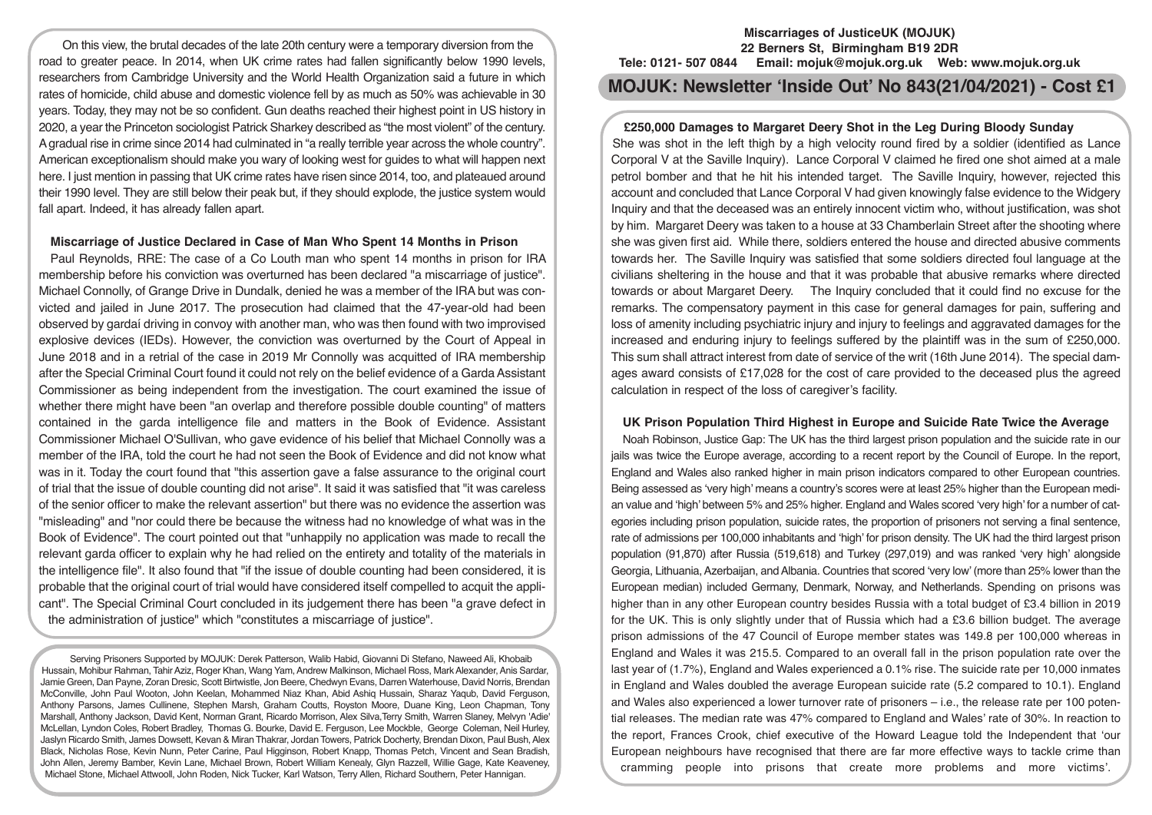On this view, the brutal decades of the late 20th century were a temporary diversion from the road to greater peace. In 2014, when UK crime rates had fallen significantly below 1990 levels, researchers from Cambridge University and the World Health Organization said a future in which rates of homicide, child abuse and domestic violence fell by as much as 50% was achievable in 30 years. Today, they may not be so confident. Gun deaths reached their highest point in US history in 2020, a year the Princeton sociologist Patrick Sharkey described as "the most violent" of the century. A gradual rise in crime since 2014 had culminated in "a really terrible year across the whole country". American exceptionalism should make you wary of looking west for guides to what will happen next here. I just mention in passing that UK crime rates have risen since 2014, too, and plateaued around their 1990 level. They are still below their peak but, if they should explode, the justice system would fall apart. Indeed, it has already fallen apart.

## **Miscarriage of Justice Declared in Case of Man Who Spent 14 Months in Prison**

Paul Reynolds, RRE: The case of a Co Louth man who spent 14 months in prison for IRA membership before his conviction was overturned has been declared "a miscarriage of justice". Michael Connolly, of Grange Drive in Dundalk, denied he was a member of the IRA but was convicted and jailed in June 2017. The prosecution had claimed that the 47-year-old had been observed by gardaí driving in convoy with another man, who was then found with two improvised explosive devices (IEDs). However, the conviction was overturned by the Court of Appeal in June 2018 and in a retrial of the case in 2019 Mr Connolly was acquitted of IRA membership after the Special Criminal Court found it could not rely on the belief evidence of a Garda Assistant Commissioner as being independent from the investigation. The court examined the issue of whether there might have been "an overlap and therefore possible double counting" of matters contained in the garda intelligence file and matters in the Book of Evidence. Assistant Commissioner Michael O'Sullivan, who gave evidence of his belief that Michael Connolly was a member of the IRA, told the court he had not seen the Book of Evidence and did not know what was in it. Today the court found that "this assertion gave a false assurance to the original court of trial that the issue of double counting did not arise". It said it was satisfied that "it was careless of the senior officer to make the relevant assertion" but there was no evidence the assertion was "misleading" and "nor could there be because the witness had no knowledge of what was in the Book of Evidence". The court pointed out that "unhappily no application was made to recall the relevant garda officer to explain why he had relied on the entirety and totality of the materials in the intelligence file". It also found that "if the issue of double counting had been considered, it is probable that the original court of trial would have considered itself compelled to acquit the applicant". The Special Criminal Court concluded in its judgement there has been "a grave defect in the administration of justice" which "constitutes a miscarriage of justice".

Serving Prisoners Supported by MOJUK: Derek Patterson, Walib Habid, Giovanni Di Stefano, Naweed Ali, Khobaib Hussain, Mohibur Rahman, Tahir Aziz, Roger Khan, Wang Yam, Andrew Malkinson, Michael Ross, Mark Alexander, Anis Sardar, Jamie Green, Dan Payne, Zoran Dresic, Scott Birtwistle, Jon Beere, Chedwyn Evans, Darren Waterhouse, David Norris, Brendan McConville, John Paul Wooton, John Keelan, Mohammed Niaz Khan, Abid Ashiq Hussain, Sharaz Yaqub, David Ferguson, Anthony Parsons, James Cullinene, Stephen Marsh, Graham Coutts, Royston Moore, Duane King, Leon Chapman, Tony Marshall, Anthony Jackson, David Kent, Norman Grant, Ricardo Morrison, Alex Silva,Terry Smith, Warren Slaney, Melvyn 'Adie' McLellan, Lyndon Coles, Robert Bradley, Thomas G. Bourke, David E. Ferguson, Lee Mockble, George Coleman, Neil Hurley, Jaslyn Ricardo Smith, James Dowsett, Kevan & Miran Thakrar, Jordan Towers, Patrick Docherty, Brendan Dixon, Paul Bush, Alex Black, Nicholas Rose, Kevin Nunn, Peter Carine, Paul Higginson, Robert Knapp, Thomas Petch, Vincent and Sean Bradish, John Allen, Jeremy Bamber, Kevin Lane, Michael Brown, Robert William Kenealy, Glyn Razzell, Willie Gage, Kate Keaveney, Michael Stone, Michael Attwooll, John Roden, Nick Tucker, Karl Watson, Terry Allen, Richard Southern, Peter Hannigan.

## **Miscarriages of JusticeUK (MOJUK) 22 Berners St, Birmingham B19 2DR**

**Tele: 0121- 507 0844 Email: mojuk@mojuk.org.uk Web: www.mojuk.org.uk**

# **MOJUK: Newsletter 'Inside Out' No 843(21/04/2021) - Cost £1**

## **£250,000 Damages to Margaret Deery Shot in the Leg During Bloody Sunday**

She was shot in the left thigh by a high velocity round fired by a soldier (identified as Lance Corporal V at the Saville Inquiry). Lance Corporal V claimed he fired one shot aimed at a male petrol bomber and that he hit his intended target. The Saville Inquiry, however, rejected this account and concluded that Lance Corporal V had given knowingly false evidence to the Widgery Inquiry and that the deceased was an entirely innocent victim who, without justification, was shot by him. Margaret Deery was taken to a house at 33 Chamberlain Street after the shooting where she was given first aid. While there, soldiers entered the house and directed abusive comments towards her. The Saville Inquiry was satisfied that some soldiers directed foul language at the civilians sheltering in the house and that it was probable that abusive remarks where directed towards or about Margaret Deery. The Inquiry concluded that it could find no excuse for the remarks. The compensatory payment in this case for general damages for pain, suffering and loss of amenity including psychiatric injury and injury to feelings and aggravated damages for the increased and enduring injury to feelings suffered by the plaintiff was in the sum of £250,000. This sum shall attract interest from date of service of the writ (16th June 2014). The special damages award consists of £17,028 for the cost of care provided to the deceased plus the agreed calculation in respect of the loss of caregiver's facility.

## **UK Prison Population Third Highest in Europe and Suicide Rate Twice the Average**

Noah Robinson, Justice Gap: The UK has the third largest prison population and the suicide rate in our jails was twice the Europe average, according to a recent report by the Council of Europe. In the report, England and Wales also ranked higher in main prison indicators compared to other European countries. Being assessed as 'very high' means a country's scores were at least 25% higher than the European median value and 'high' between 5% and 25% higher. England and Wales scored 'very high' for a number of categories including prison population, suicide rates, the proportion of prisoners not serving a final sentence, rate of admissions per 100,000 inhabitants and 'high' for prison density. The UK had the third largest prison population (91,870) after Russia (519,618) and Turkey (297,019) and was ranked 'very high' alongside Georgia, Lithuania, Azerbaijan, and Albania. Countries that scored 'very low' (more than 25% lower than the European median) included Germany, Denmark, Norway, and Netherlands. Spending on prisons was higher than in any other European country besides Russia with a total budget of £3.4 billion in 2019 for the UK. This is only slightly under that of Russia which had a £3.6 billion budget. The average prison admissions of the 47 Council of Europe member states was 149.8 per 100,000 whereas in England and Wales it was 215.5. Compared to an overall fall in the prison population rate over the last year of (1.7%), England and Wales experienced a 0.1% rise. The suicide rate per 10,000 inmates in England and Wales doubled the average European suicide rate (5.2 compared to 10.1). England and Wales also experienced a lower turnover rate of prisoners – i.e., the release rate per 100 potential releases. The median rate was 47% compared to England and Wales' rate of 30%. In reaction to the report, Frances Crook, chief executive of the Howard League told the Independent that 'our European neighbours have recognised that there are far more effective ways to tackle crime than cramming people into prisons that create more problems and more victims'.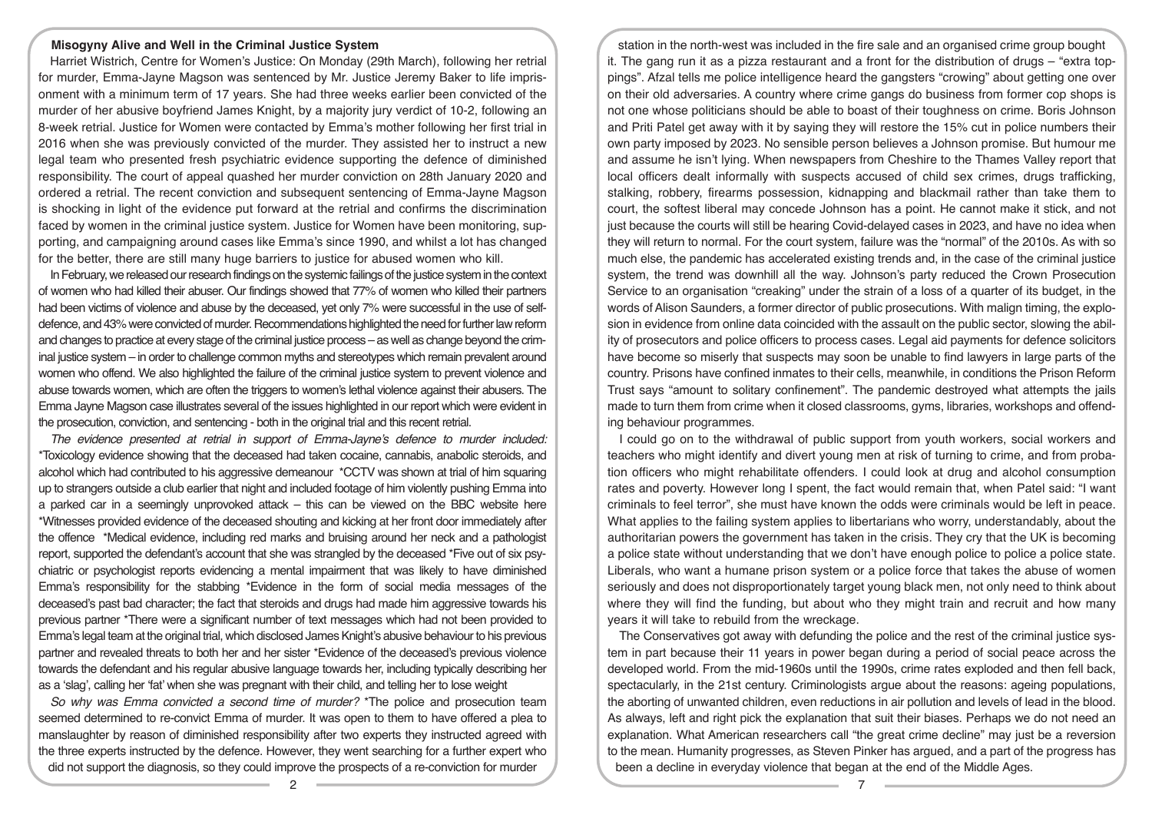#### **Misogyny Alive and Well in the Criminal Justice System**

Harriet Wistrich, Centre for Women's Justice: On Monday (29th March), following her retrial for murder, Emma-Jayne Magson was sentenced by Mr. Justice Jeremy Baker to life imprisonment with a minimum term of 17 years. She had three weeks earlier been convicted of the murder of her abusive boyfriend James Knight, by a majority jury verdict of 10-2, following an 8-week retrial. Justice for Women were contacted by Emma's mother following her first trial in 2016 when she was previously convicted of the murder. They assisted her to instruct a new legal team who presented fresh psychiatric evidence supporting the defence of diminished responsibility. The court of appeal quashed her murder conviction on 28th January 2020 and ordered a retrial. The recent conviction and subsequent sentencing of Emma-Jayne Magson is shocking in light of the evidence put forward at the retrial and confirms the discrimination faced by women in the criminal justice system. Justice for Women have been monitoring, supporting, and campaigning around cases like Emma's since 1990, and whilst a lot has changed for the better, there are still many huge barriers to justice for abused women who kill.

In February, we released our research findings on the systemic failings of the justice system in the context of women who had killed their abuser. Our findings showed that 77% of women who killed their partners had been victims of violence and abuse by the deceased, yet only 7% were successful in the use of selfdefence, and 43% were convicted of murder. Recommendations highlighted the need for further law reform and changes to practice at every stage of the criminal justice process – as well as change beyond the criminal justice system – in order to challenge common myths and stereotypes which remain prevalent around women who offend. We also highlighted the failure of the criminal justice system to prevent violence and abuse towards women, which are often the triggers to women's lethal violence against their abusers. The Emma Jayne Magson case illustrates several of the issues highlighted in our report which were evident in the prosecution, conviction, and sentencing - both in the original trial and this recent retrial.

*The evidence presented at retrial in support of Emma-Jayne's defence to murder included:*  \*Toxicology evidence showing that the deceased had taken cocaine, cannabis, anabolic steroids, and alcohol which had contributed to his aggressive demeanour \*CCTV was shown at trial of him squaring up to strangers outside a club earlier that night and included footage of him violently pushing Emma into a parked car in a seemingly unprovoked attack – this can be viewed on the BBC website here \*Witnesses provided evidence of the deceased shouting and kicking at her front door immediately after the offence \*Medical evidence, including red marks and bruising around her neck and a pathologist report, supported the defendant's account that she was strangled by the deceased \*Five out of six psychiatric or psychologist reports evidencing a mental impairment that was likely to have diminished Emma's responsibility for the stabbing \*Evidence in the form of social media messages of the deceased's past bad character; the fact that steroids and drugs had made him aggressive towards his previous partner \*There were a significant number of text messages which had not been provided to Emma's legal team at the original trial, which disclosed James Knight's abusive behaviour to his previous partner and revealed threats to both her and her sister \*Evidence of the deceased's previous violence towards the defendant and his regular abusive language towards her, including typically describing her as a 'slag', calling her 'fat' when she was pregnant with their child, and telling her to lose weight

*So why was Emma convicted a second time of murder?* \*The police and prosecution team seemed determined to re-convict Emma of murder. It was open to them to have offered a plea to manslaughter by reason of diminished responsibility after two experts they instructed agreed with the three experts instructed by the defence. However, they went searching for a further expert who did not support the diagnosis, so they could improve the prospects of a re-conviction for murder

station in the north-west was included in the fire sale and an organised crime group bought it. The gang run it as a pizza restaurant and a front for the distribution of drugs – "extra toppings". Afzal tells me police intelligence heard the gangsters "crowing" about getting one over on their old adversaries. A country where crime gangs do business from former cop shops is not one whose politicians should be able to boast of their toughness on crime. Boris Johnson and Priti Patel get away with it by saying they will restore the 15% cut in police numbers their own party imposed by 2023. No sensible person believes a Johnson promise. But humour me and assume he isn't lying. When newspapers from Cheshire to the Thames Valley report that local officers dealt informally with suspects accused of child sex crimes, drugs trafficking, stalking, robbery, firearms possession, kidnapping and blackmail rather than take them to court, the softest liberal may concede Johnson has a point. He cannot make it stick, and not just because the courts will still be hearing Covid-delayed cases in 2023, and have no idea when they will return to normal. For the court system, failure was the "normal" of the 2010s. As with so much else, the pandemic has accelerated existing trends and, in the case of the criminal justice system, the trend was downhill all the way. Johnson's party reduced the Crown Prosecution Service to an organisation "creaking" under the strain of a loss of a quarter of its budget, in the words of Alison Saunders, a former director of public prosecutions. With malign timing, the explosion in evidence from online data coincided with the assault on the public sector, slowing the ability of prosecutors and police officers to process cases. Legal aid payments for defence solicitors have become so miserly that suspects may soon be unable to find lawyers in large parts of the country. Prisons have confined inmates to their cells, meanwhile, in conditions the Prison Reform Trust says "amount to solitary confinement". The pandemic destroyed what attempts the jails made to turn them from crime when it closed classrooms, gyms, libraries, workshops and offending behaviour programmes.

I could go on to the withdrawal of public support from youth workers, social workers and teachers who might identify and divert young men at risk of turning to crime, and from probation officers who might rehabilitate offenders. I could look at drug and alcohol consumption rates and poverty. However long I spent, the fact would remain that, when Patel said: "I want criminals to feel terror", she must have known the odds were criminals would be left in peace. What applies to the failing system applies to libertarians who worry, understandably, about the authoritarian powers the government has taken in the crisis. They cry that the UK is becoming a police state without understanding that we don't have enough police to police a police state. Liberals, who want a humane prison system or a police force that takes the abuse of women seriously and does not disproportionately target young black men, not only need to think about where they will find the funding, but about who they might train and recruit and how many years it will take to rebuild from the wreckage.

The Conservatives got away with defunding the police and the rest of the criminal justice system in part because their 11 years in power began during a period of social peace across the developed world. From the mid-1960s until the 1990s, crime rates exploded and then fell back, spectacularly, in the 21st century. Criminologists argue about the reasons: ageing populations, the aborting of unwanted children, even reductions in air pollution and levels of lead in the blood. As always, left and right pick the explanation that suit their biases. Perhaps we do not need an explanation. What American researchers call "the great crime decline" may just be a reversion to the mean. Humanity progresses, as Steven Pinker has argued, and a part of the progress has been a decline in everyday violence that began at the end of the Middle Ages.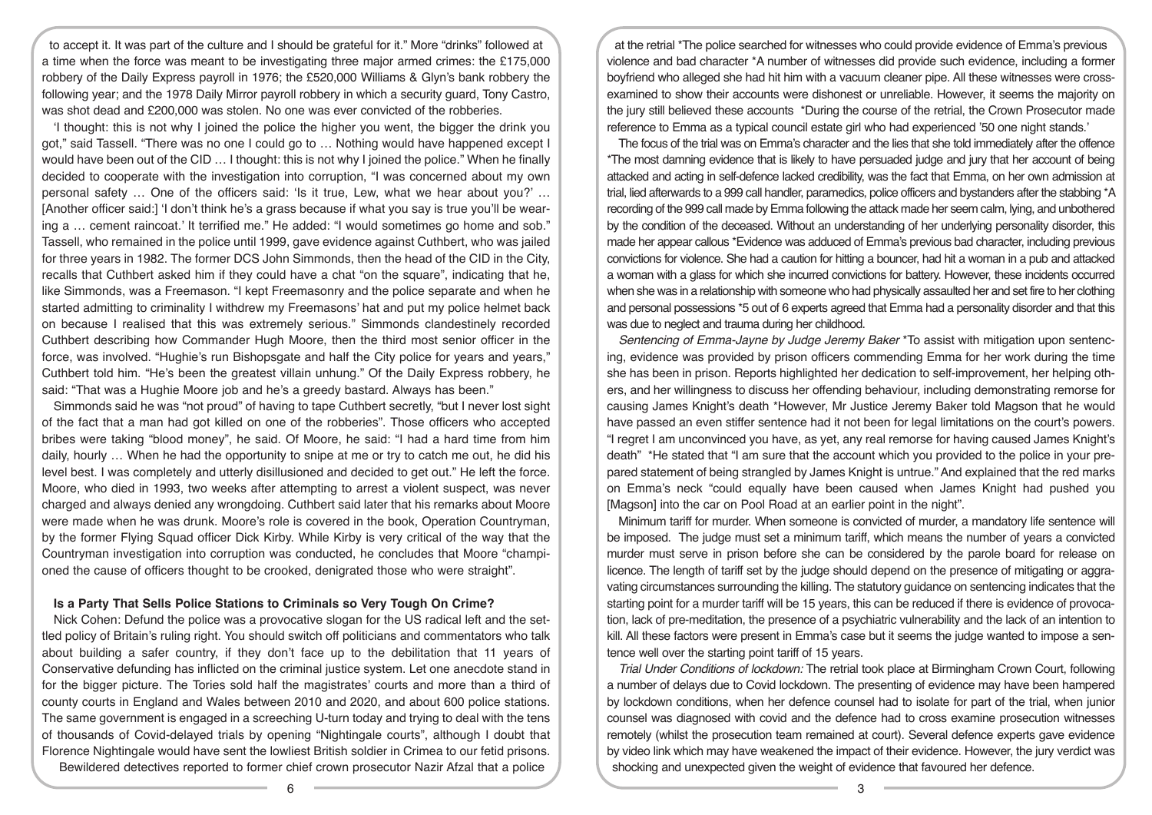to accept it. It was part of the culture and I should be grateful for it." More "drinks" followed at a time when the force was meant to be investigating three major armed crimes: the £175,000 robbery of the Daily Express payroll in 1976; the £520,000 Williams & Glyn's bank robbery the following year; and the 1978 Daily Mirror payroll robbery in which a security guard, Tony Castro, was shot dead and £200,000 was stolen. No one was ever convicted of the robberies.

'I thought: this is not why I joined the police the higher you went, the bigger the drink you got," said Tassell. "There was no one I could go to … Nothing would have happened except I would have been out of the CID … I thought: this is not why I joined the police." When he finally decided to cooperate with the investigation into corruption, "I was concerned about my own personal safety … One of the officers said: 'Is it true, Lew, what we hear about you?' … [Another officer said:] 'I don't think he's a grass because if what you say is true you'll be wearing a … cement raincoat.' It terrified me." He added: "I would sometimes go home and sob." Tassell, who remained in the police until 1999, gave evidence against Cuthbert, who was jailed for three years in 1982. The former DCS John Simmonds, then the head of the CID in the City, recalls that Cuthbert asked him if they could have a chat "on the square", indicating that he, like Simmonds, was a Freemason. "I kept Freemasonry and the police separate and when he started admitting to criminality I withdrew my Freemasons' hat and put my police helmet back on because I realised that this was extremely serious." Simmonds clandestinely recorded Cuthbert describing how Commander Hugh Moore, then the third most senior officer in the force, was involved. "Hughie's run Bishopsgate and half the City police for years and years," Cuthbert told him. "He's been the greatest villain unhung." Of the Daily Express robbery, he said: "That was a Hughie Moore job and he's a greedy bastard. Always has been."

Simmonds said he was "not proud" of having to tape Cuthbert secretly, "but I never lost sight of the fact that a man had got killed on one of the robberies". Those officers who accepted bribes were taking "blood money", he said. Of Moore, he said: "I had a hard time from him daily, hourly … When he had the opportunity to snipe at me or try to catch me out, he did his level best. I was completely and utterly disillusioned and decided to get out." He left the force. Moore, who died in 1993, two weeks after attempting to arrest a violent suspect, was never charged and always denied any wrongdoing. Cuthbert said later that his remarks about Moore were made when he was drunk. Moore's role is covered in the book, Operation Countryman, by the former Flying Squad officer Dick Kirby. While Kirby is very critical of the way that the Countryman investigation into corruption was conducted, he concludes that Moore "championed the cause of officers thought to be crooked, denigrated those who were straight".

## **Is a Party That Sells Police Stations to Criminals so Very Tough On Crime?**

Nick Cohen: Defund the police was a provocative slogan for the US radical left and the settled policy of Britain's ruling right. You should switch off politicians and commentators who talk about building a safer country, if they don't face up to the debilitation that 11 years of Conservative defunding has inflicted on the criminal justice system. Let one anecdote stand in for the bigger picture. The Tories sold half the magistrates' courts and more than a third of county courts in England and Wales between 2010 and 2020, and about 600 police stations. The same government is engaged in a screeching U-turn today and trying to deal with the tens of thousands of Covid-delayed trials by opening "Nightingale courts", although I doubt that Florence Nightingale would have sent the lowliest British soldier in Crimea to our fetid prisons.

Bewildered detectives reported to former chief crown prosecutor Nazir Afzal that a police

at the retrial \*The police searched for witnesses who could provide evidence of Emma's previous violence and bad character \*A number of witnesses did provide such evidence, including a former boyfriend who alleged she had hit him with a vacuum cleaner pipe. All these witnesses were crossexamined to show their accounts were dishonest or unreliable. However, it seems the majority on the jury still believed these accounts \*During the course of the retrial, the Crown Prosecutor made reference to Emma as a typical council estate girl who had experienced '50 one night stands.'

The focus of the trial was on Emma's character and the lies that she told immediately after the offence \*The most damning evidence that is likely to have persuaded judge and jury that her account of being attacked and acting in self-defence lacked credibility, was the fact that Emma, on her own admission at trial, lied afterwards to a 999 call handler, paramedics, police officers and bystanders after the stabbing \*A recording of the 999 call made by Emma following the attack made her seem calm, lying, and unbothered by the condition of the deceased. Without an understanding of her underlying personality disorder, this made her appear callous \*Evidence was adduced of Emma's previous bad character, including previous convictions for violence. She had a caution for hitting a bouncer, had hit a woman in a pub and attacked a woman with a glass for which she incurred convictions for battery. However, these incidents occurred when she was in a relationship with someone who had physically assaulted her and set fire to her clothing and personal possessions \*5 out of 6 experts agreed that Emma had a personality disorder and that this was due to neglect and trauma during her childhood.

*Sentencing of Emma-Jayne by Judge Jeremy Baker* \*To assist with mitigation upon sentencing, evidence was provided by prison officers commending Emma for her work during the time she has been in prison. Reports highlighted her dedication to self-improvement, her helping others, and her willingness to discuss her offending behaviour, including demonstrating remorse for causing James Knight's death \*However, Mr Justice Jeremy Baker told Magson that he would have passed an even stiffer sentence had it not been for legal limitations on the court's powers. "I regret I am unconvinced you have, as yet, any real remorse for having caused James Knight's death" \*He stated that "I am sure that the account which you provided to the police in your prepared statement of being strangled by James Knight is untrue." And explained that the red marks on Emma's neck "could equally have been caused when James Knight had pushed you [Magson] into the car on Pool Road at an earlier point in the night".

Minimum tariff for murder. When someone is convicted of murder, a mandatory life sentence will be imposed. The judge must set a minimum tariff, which means the number of years a convicted murder must serve in prison before she can be considered by the parole board for release on licence. The length of tariff set by the judge should depend on the presence of mitigating or aggravating circumstances surrounding the killing. The statutory guidance on sentencing indicates that the starting point for a murder tariff will be 15 years, this can be reduced if there is evidence of provocation, lack of pre-meditation, the presence of a psychiatric vulnerability and the lack of an intention to kill. All these factors were present in Emma's case but it seems the judge wanted to impose a sentence well over the starting point tariff of 15 years.

*Trial Under Conditions of lockdown:* The retrial took place at Birmingham Crown Court, following a number of delays due to Covid lockdown. The presenting of evidence may have been hampered by lockdown conditions, when her defence counsel had to isolate for part of the trial, when junior counsel was diagnosed with covid and the defence had to cross examine prosecution witnesses remotely (whilst the prosecution team remained at court). Several defence experts gave evidence by video link which may have weakened the impact of their evidence. However, the jury verdict was shocking and unexpected given the weight of evidence that favoured her defence.